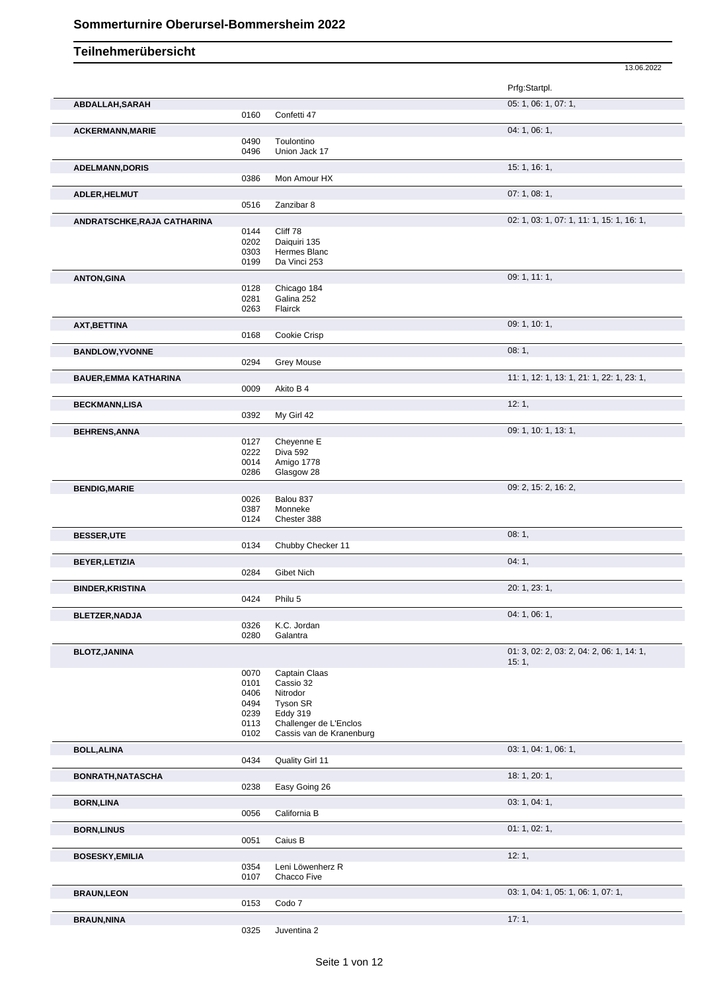|                              |      |                          | 13.06.2022                                |
|------------------------------|------|--------------------------|-------------------------------------------|
|                              |      |                          | Prfg:Startpl.                             |
| ABDALLAH, SARAH              |      |                          | 05: 1, 06: 1, 07: 1,                      |
|                              | 0160 | Confetti 47              |                                           |
| <b>ACKERMANN, MARIE</b>      |      |                          | 04: 1, 06: 1,                             |
|                              | 0490 | Toulontino               |                                           |
|                              | 0496 | Union Jack 17            |                                           |
| <b>ADELMANN,DORIS</b>        |      |                          | 15: 1, 16: 1,                             |
|                              | 0386 | Mon Amour HX             |                                           |
| ADLER, HELMUT                |      |                          | 07:1,08:1,                                |
|                              | 0516 | Zanzibar 8               |                                           |
|                              |      |                          |                                           |
| ANDRATSCHKE, RAJA CATHARINA  | 0144 | Cliff 78                 | 02: 1, 03: 1, 07: 1, 11: 1, 15: 1, 16: 1, |
|                              | 0202 | Daiquiri 135             |                                           |
|                              | 0303 | Hermes Blanc             |                                           |
|                              | 0199 | Da Vinci 253             |                                           |
| <b>ANTON, GINA</b>           |      |                          | 09: 1, 11: 1,                             |
|                              | 0128 | Chicago 184              |                                           |
|                              | 0281 | Galina 252               |                                           |
|                              | 0263 | Flairck                  |                                           |
| AXT, BETTINA                 |      |                          | 09: 1, 10: 1,                             |
|                              | 0168 | Cookie Crisp             |                                           |
|                              |      |                          |                                           |
| <b>BANDLOW, YVONNE</b>       | 0294 | <b>Grey Mouse</b>        | 08:1,                                     |
|                              |      |                          |                                           |
| <b>BAUER, EMMA KATHARINA</b> |      |                          | 11: 1, 12: 1, 13: 1, 21: 1, 22: 1, 23: 1, |
|                              | 0009 | Akito B 4                |                                           |
| <b>BECKMANN,LISA</b>         |      |                          | 12:1,                                     |
|                              | 0392 | My Girl 42               |                                           |
| <b>BEHRENS, ANNA</b>         |      |                          | 09: 1, 10: 1, 13: 1,                      |
|                              | 0127 | Cheyenne E               |                                           |
|                              | 0222 | Diva 592                 |                                           |
|                              | 0014 | Amigo 1778               |                                           |
|                              | 0286 | Glasgow 28               |                                           |
| <b>BENDIG, MARIE</b>         |      |                          | 09: 2, 15: 2, 16: 2,                      |
|                              | 0026 | Balou 837                |                                           |
|                              | 0387 | Monneke                  |                                           |
|                              | 0124 | Chester 388              |                                           |
| <b>BESSER,UTE</b>            |      |                          | 08:1,                                     |
|                              | 0134 | Chubby Checker 11        |                                           |
| <b>BEYER, LETIZIA</b>        |      |                          | 04:1,                                     |
|                              | 0284 | Gibet Nich               |                                           |
| <b>BINDER, KRISTINA</b>      |      |                          | 20: 1, 23: 1,                             |
|                              | 0424 | Philu 5                  |                                           |
| BLETZER, NADJA               |      |                          | 04: 1, 06: 1,                             |
|                              | 0326 | K.C. Jordan              |                                           |
|                              | 0280 | Galantra                 |                                           |
|                              |      |                          | 01: 3, 02: 2, 03: 2, 04: 2, 06: 1, 14: 1, |
| <b>BLOTZ, JANINA</b>         |      |                          | 15:1,                                     |
|                              | 0070 | Captain Claas            |                                           |
|                              | 0101 | Cassio 32                |                                           |
|                              | 0406 | Nitrodor                 |                                           |
|                              | 0494 | Tyson SR                 |                                           |
|                              | 0239 | Eddy 319                 |                                           |
|                              | 0113 | Challenger de L'Enclos   |                                           |
|                              | 0102 | Cassis van de Kranenburg |                                           |
| <b>BOLL, ALINA</b>           |      |                          | 03: 1, 04: 1, 06: 1,                      |
|                              | 0434 | Quality Girl 11          |                                           |
| BONRATH, NATASCHA            |      |                          | 18: 1, 20: 1,                             |
|                              | 0238 | Easy Going 26            |                                           |
| <b>BORN, LINA</b>            |      |                          | 03: 1, 04: 1,                             |
|                              | 0056 | California B             |                                           |
|                              |      |                          |                                           |
| <b>BORN, LINUS</b>           |      |                          | 01: 1, 02: 1,                             |
|                              | 0051 | Caius B                  |                                           |
| <b>BOSESKY, EMILIA</b>       |      |                          | 12:1,                                     |
|                              | 0354 | Leni Löwenherz R         |                                           |
|                              | 0107 | Chacco Five              |                                           |
| <b>BRAUN,LEON</b>            |      |                          | 03: 1, 04: 1, 05: 1, 06: 1, 07: 1,        |
|                              | 0153 | Codo 7                   |                                           |
| <b>BRAUN, NINA</b>           |      |                          | 17:1,                                     |
|                              | 0325 | Juventina 2              |                                           |
|                              |      |                          |                                           |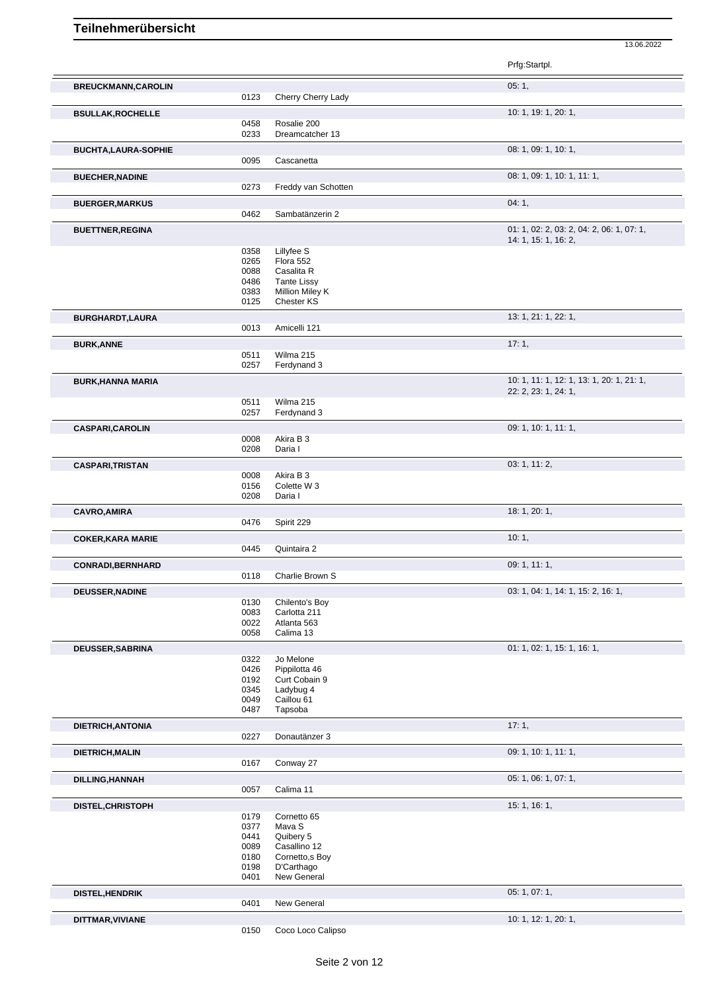|                            |              |                                | Prfg:Startpl.                                                     |
|----------------------------|--------------|--------------------------------|-------------------------------------------------------------------|
| <b>BREUCKMANN, CAROLIN</b> |              |                                | 05:1,                                                             |
|                            | 0123         | Cherry Cherry Lady             |                                                                   |
| <b>BSULLAK, ROCHELLE</b>   |              |                                | 10: 1, 19: 1, 20: 1,                                              |
|                            | 0458<br>0233 | Rosalie 200<br>Dreamcatcher 13 |                                                                   |
|                            |              |                                |                                                                   |
| <b>BUCHTA,LAURA-SOPHIE</b> | 0095         | Cascanetta                     | 08: 1, 09: 1, 10: 1,                                              |
|                            |              |                                |                                                                   |
| <b>BUECHER, NADINE</b>     | 0273         | Freddy van Schotten            | 08: 1, 09: 1, 10: 1, 11: 1,                                       |
|                            |              |                                |                                                                   |
| <b>BUERGER, MARKUS</b>     | 0462         | Sambatänzerin 2                | 04:1,                                                             |
|                            |              |                                |                                                                   |
| <b>BUETTNER, REGINA</b>    |              |                                | 01: 1, 02: 2, 03: 2, 04: 2, 06: 1, 07: 1,<br>14: 1, 15: 1, 16: 2, |
|                            | 0358         | Lillyfee S                     |                                                                   |
|                            | 0265         | Flora 552                      |                                                                   |
|                            | 0088         | Casalita R                     |                                                                   |
|                            | 0486         | <b>Tante Lissy</b>             |                                                                   |
|                            | 0383         | Million Miley K                |                                                                   |
|                            | 0125         | Chester KS                     |                                                                   |
| <b>BURGHARDT,LAURA</b>     |              |                                | 13: 1, 21: 1, 22: 1,                                              |
|                            | 0013         | Amicelli 121                   |                                                                   |
| <b>BURK, ANNE</b>          | 0511         | Wilma 215                      | 17:1,                                                             |
|                            | 0257         | Ferdynand 3                    |                                                                   |
| <b>BURK, HANNA MARIA</b>   |              |                                | 10: 1, 11: 1, 12: 1, 13: 1, 20: 1, 21: 1,                         |
|                            |              |                                | 22: 2, 23: 1, 24: 1,                                              |
|                            | 0511         | Wilma 215                      |                                                                   |
|                            | 0257         | Ferdynand 3                    |                                                                   |
| <b>CASPARI, CAROLIN</b>    |              |                                | 09: 1, 10: 1, 11: 1,                                              |
|                            | 0008         | Akira B 3                      |                                                                   |
|                            | 0208         | Daria I                        |                                                                   |
| <b>CASPARI, TRISTAN</b>    |              |                                | 03: 1, 11: 2,                                                     |
|                            | 0008         | Akira B 3                      |                                                                   |
|                            | 0156<br>0208 | Colette W 3<br>Daria I         |                                                                   |
|                            |              |                                |                                                                   |
| <b>CAVRO, AMIRA</b>        | 0476         | Spirit 229                     | 18: 1, 20: 1,                                                     |
|                            |              |                                |                                                                   |
| <b>COKER, KARA MARIE</b>   | 0445         | Quintaira 2                    | 10:1,                                                             |
|                            |              |                                |                                                                   |
| <b>CONRADI, BERNHARD</b>   | 0118         | Charlie Brown S                | 09: 1, 11: 1,                                                     |
|                            |              |                                |                                                                   |
| DEUSSER, NADINE            | 0130         | Chilento's Boy                 | 03: 1, 04: 1, 14: 1, 15: 2, 16: 1,                                |
|                            | 0083         | Carlotta 211                   |                                                                   |
|                            | 0022         | Atlanta 563                    |                                                                   |
|                            | 0058         | Calima 13                      |                                                                   |
| <b>DEUSSER, SABRINA</b>    |              |                                | 01: 1, 02: 1, 15: 1, 16: 1,                                       |
|                            | 0322         | Jo Melone                      |                                                                   |
|                            | 0426         | Pippilotta 46                  |                                                                   |
|                            | 0192         | Curt Cobain 9                  |                                                                   |
|                            | 0345<br>0049 | Ladybug 4<br>Caillou 61        |                                                                   |
|                            | 0487         | Tapsoba                        |                                                                   |
|                            |              |                                | 17:1,                                                             |
| DIETRICH, ANTONIA          | 0227         | Donautänzer 3                  |                                                                   |
|                            |              |                                | 09: 1, 10: 1, 11: 1,                                              |
| DIETRICH, MALIN            | 0167         | Conway 27                      |                                                                   |
|                            |              |                                | 05: 1, 06: 1, 07: 1,                                              |
| <b>DILLING, HANNAH</b>     | 0057         | Calima 11                      |                                                                   |
|                            |              |                                | 15: 1, 16: 1,                                                     |
| DISTEL, CHRISTOPH          | 0179         | Cornetto 65                    |                                                                   |
|                            | 0377         | Mava S                         |                                                                   |
|                            | 0441         | Quibery 5                      |                                                                   |
|                            | 0089         | Casallino 12                   |                                                                   |
|                            | 0180         | Cornetto, s Boy                |                                                                   |
|                            | 0198         | D'Carthago                     |                                                                   |
|                            | 0401         | New General                    |                                                                   |
| <b>DISTEL, HENDRIK</b>     |              | New General                    | 05: 1, 07: 1,                                                     |
|                            | 0401         |                                |                                                                   |
| DITTMAR, VIVIANE           |              |                                | 10: 1, 12: 1, 20: 1,                                              |
|                            | 0150         | Coco Loco Calipso              |                                                                   |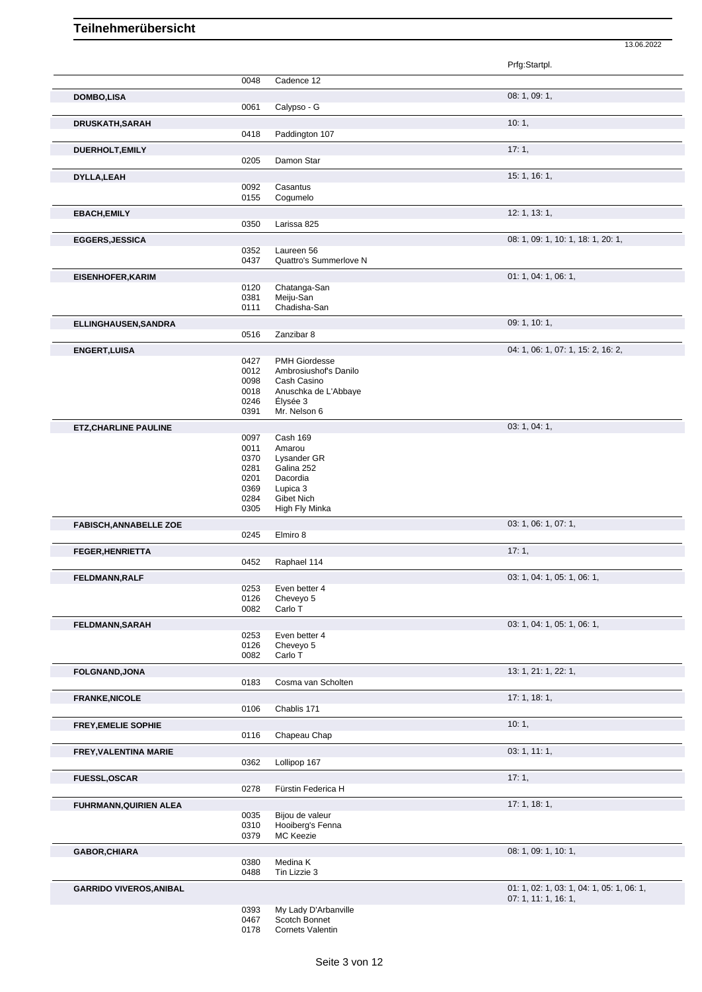|                                |              |                                      | Prfg:Startpl.                                                     |
|--------------------------------|--------------|--------------------------------------|-------------------------------------------------------------------|
|                                | 0048         | Cadence 12                           |                                                                   |
| <b>DOMBO,LISA</b>              |              |                                      | 08: 1, 09: 1,                                                     |
|                                | 0061         | Calypso - G                          |                                                                   |
| DRUSKATH, SARAH                |              |                                      | 10:1,                                                             |
|                                | 0418         | Paddington 107                       |                                                                   |
| <b>DUERHOLT, EMILY</b>         |              |                                      | 17:1,                                                             |
|                                | 0205         | Damon Star                           |                                                                   |
|                                |              |                                      | 15: 1, 16: 1,                                                     |
| DYLLA, LEAH                    | 0092         | Casantus                             |                                                                   |
|                                | 0155         | Cogumelo                             |                                                                   |
| <b>EBACH, EMILY</b>            |              |                                      | 12: 1, 13: 1,                                                     |
|                                | 0350         | Larissa 825                          |                                                                   |
|                                |              |                                      |                                                                   |
| <b>EGGERS, JESSICA</b>         |              |                                      | 08: 1, 09: 1, 10: 1, 18: 1, 20: 1,                                |
|                                | 0352<br>0437 | Laureen 56<br>Quattro's Summerlove N |                                                                   |
|                                |              |                                      |                                                                   |
| <b>EISENHOFER, KARIM</b>       |              |                                      | 01: 1, 04: 1, 06: 1,                                              |
|                                | 0120<br>0381 | Chatanga-San<br>Meiju-San            |                                                                   |
|                                | 0111         | Chadisha-San                         |                                                                   |
|                                |              |                                      |                                                                   |
| ELLINGHAUSEN, SANDRA           | 0516         | Zanzibar 8                           | 09: 1, 10: 1,                                                     |
|                                |              |                                      |                                                                   |
| <b>ENGERT, LUISA</b>           |              |                                      | 04: 1, 06: 1, 07: 1, 15: 2, 16: 2,                                |
|                                | 0427         | <b>PMH Giordesse</b>                 |                                                                   |
|                                | 0012<br>0098 | Ambrosiushof's Danilo<br>Cash Casino |                                                                   |
|                                | 0018         | Anuschka de L'Abbaye                 |                                                                   |
|                                | 0246         | Élysée 3                             |                                                                   |
|                                | 0391         | Mr. Nelson 6                         |                                                                   |
| <b>ETZ, CHARLINE PAULINE</b>   |              |                                      | 03: 1, 04: 1,                                                     |
|                                | 0097         | Cash 169                             |                                                                   |
|                                | 0011         | Amarou                               |                                                                   |
|                                | 0370         | Lysander GR                          |                                                                   |
|                                | 0281         | Galina 252                           |                                                                   |
|                                | 0201         | Dacordia                             |                                                                   |
|                                | 0369         | Lupica 3                             |                                                                   |
|                                | 0284         | Gibet Nich                           |                                                                   |
|                                | 0305         | High Fly Minka                       |                                                                   |
| <b>FABISCH, ANNABELLE ZOE</b>  |              |                                      | 03: 1, 06: 1, 07: 1,                                              |
|                                | 0245         | Elmiro 8                             |                                                                   |
| <b>FEGER, HENRIETTA</b>        |              |                                      | 17:1,                                                             |
|                                | 0452         | Raphael 114                          |                                                                   |
| <b>FELDMANN.RALF</b>           |              |                                      | 03: 1, 04: 1, 05: 1, 06: 1,                                       |
|                                | 0253         | Even better 4                        |                                                                   |
|                                | 0126         | Cheveyo 5                            |                                                                   |
|                                | 0082         | Carlo T                              |                                                                   |
| <b>FELDMANN, SARAH</b>         |              |                                      | 03: 1, 04: 1, 05: 1, 06: 1,                                       |
|                                | 0253         | Even better 4                        |                                                                   |
|                                | 0126         | Cheveyo 5                            |                                                                   |
|                                | 0082         | Carlo T                              |                                                                   |
| FOLGNAND, JONA                 |              |                                      | 13: 1, 21: 1, 22: 1,                                              |
|                                | 0183         | Cosma van Scholten                   |                                                                   |
|                                |              |                                      | 17:1, 18:1,                                                       |
| <b>FRANKE, NICOLE</b>          | 0106         | Chablis 171                          |                                                                   |
|                                |              |                                      |                                                                   |
| <b>FREY, EMELIE SOPHIE</b>     |              |                                      | 10:1,                                                             |
|                                | 0116         | Chapeau Chap                         |                                                                   |
| <b>FREY, VALENTINA MARIE</b>   |              |                                      | 03: 1, 11: 1,                                                     |
|                                | 0362         | Lollipop 167                         |                                                                   |
| <b>FUESSL, OSCAR</b>           |              |                                      | 17:1,                                                             |
|                                | 0278         | Fürstin Federica H                   |                                                                   |
| FUHRMANN, QUIRIEN ALEA         |              |                                      | 17:1, 18:1,                                                       |
|                                | 0035         | Bijou de valeur                      |                                                                   |
|                                | 0310         | Hooiberg's Fenna                     |                                                                   |
|                                | 0379         | <b>MC Keezie</b>                     |                                                                   |
|                                |              |                                      | 08: 1, 09: 1, 10: 1,                                              |
| GABOR, CHIARA                  | 0380         | Medina K                             |                                                                   |
|                                | 0488         | Tin Lizzie 3                         |                                                                   |
|                                |              |                                      |                                                                   |
| <b>GARRIDO VIVEROS, ANIBAL</b> |              |                                      | 01: 1, 02: 1, 03: 1, 04: 1, 05: 1, 06: 1,<br>07: 1, 11: 1, 16: 1, |
|                                |              |                                      |                                                                   |

13.06.2022

My Lady D'Arbanville

Scotch Bonnet

Cornets Valentin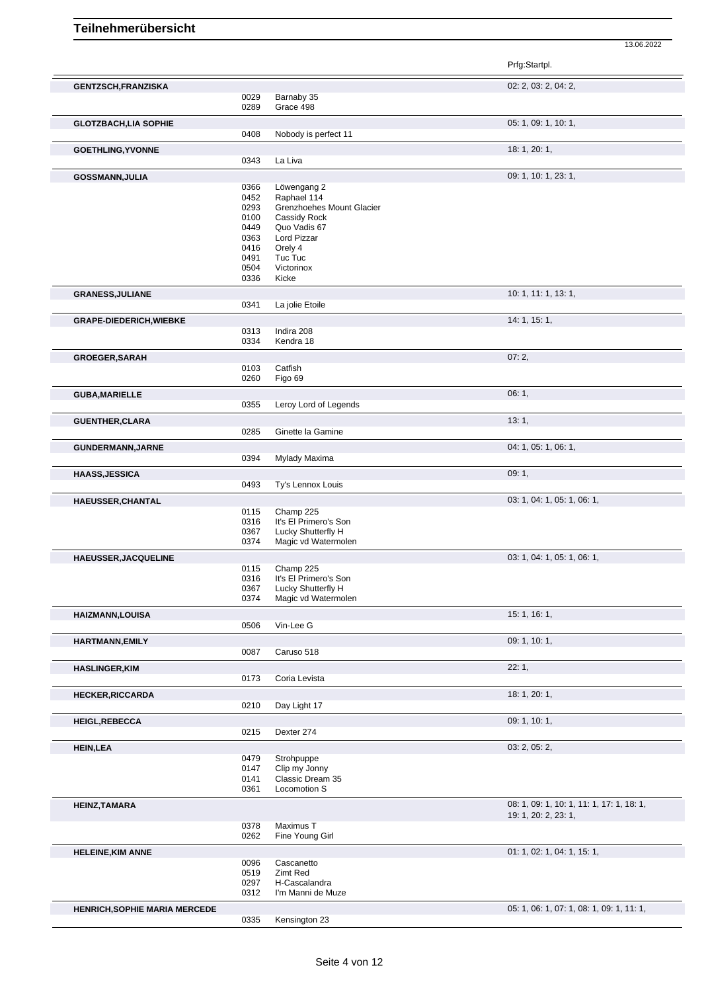Prfg:Startpl. **GENTZSCH,FRANZISKA** 02: 2, 03: 2, 04: 2, 0029 Barnaby 35<br>0289 Grace 498 Grace 498 **GLOTZBACH,LIA SOPHIE** 05: 1, 09: 1, 10: 1, 0408 Nobody is perfect 11 **GOETHLING,YVONNE** 18: 1, 20: 1, La Liva **GOSSMANN,JULIA** 09: 1, 10: 1, 23: 1, 0. 1, 23: 1, 0. 1, 23: 1, 0. 1, 23: 1, 0. 1, 23: 1, 0. 1, 23: 1, 0. 1, 23: 1, 0. 1, 23: 1, 0. 1, 23: 1, 0. 1, 23: 1, 0. 1, 23: 1, 0. 1, 23: 1, 0. 1, 23: 1, 0. 1, 23: 1, 0. 1, 23: 1, 0. 0366 Löwengang 2<br>0452 Raphael 114 Raphael 114 0293 Grenzhoehes Mount Glacier 0100 Cassidy Rock<br>0449 Quo Vadis 67 0449 Quo Vadis 67<br>0363 Lord Pizzar 0363 Lord Pizzar<br>0416 Orely 4 0416 Orely 4<br>0491 Tuc Tuo Tuc Tuc 0504 Victorinox<br>0336 Kicke Kicke **GRANESS,JULIANE** 10: 1, 11: 1, 13: 1, La jolie Etoile **GRAPE-DIEDERICH, WIEBKE** 14: 1, 15: 1, 2008 14: 1, 15: 1, 2008 0313 Indira 208<br>0334 Kendra 18 Kendra 18 **GROEGER,SARAH** 07: 2, 0103 Catfish<br>0260 Figo 69 Figo 69 **GUBA,MARIELLE** 06: 1, Leroy Lord of Legends **GUENTHER,CLARA** 13: 1, 0285 Ginette la Gamine **GUNDERMANN,JARNE** 2014: 1, 05: 1, 06: 1, 06: 1, 06: 1, 06: 1, 06: 1, 06: 1, 05: 1, 06: 1, 06: 1, 06: 1, 06: 1, 06: 1, 06: 1, 06: 1, 06: 1, 06: 1, 06: 1, 06: 1, 06: 1, 06: 1, 06: 1, 06: 1, 06: 1, 06: 1, 06: 1, 06: 1, 06: 1 0394 Mylady Maxima **HAASS,JESSICA** 09: 1, 09: 1, 09: 1, 09: 1, 09: 1, 09: 1, 09: 1, 09: 1, 09: 1, 09: 1, 09: 1, 09: 1, 09: 1, 09: 1, 09: 1, 09: 1, 09: 1, 09: 1, 09: 1, 09: 1, 09: 1, 09: 1, 09: 1, 09: 1, 09: 1, 09: 1, 09: 1, 09: 1, 09: 1, 09: 0493 Ty's Lennox Louis **HAEUSSER,CHANTAL** 03: 1, 04: 1, 05: 1, 06: 1, 0115 Champ 225 0316 It's El Primero's Son<br>0367 Lucky Shutterfly H 0367 Lucky Shutterfly H<br>0374 Magic vd Watermo Magic vd Watermolen **HAEUSSER,JACQUELINE** 03: 1, 04: 1, 05: 1, 06: 1, 06: 1, 06: 1, 06: 1, 06: 1, 06: 1, 06: 1, 06: 1, 06: 1, 05: 1, 06: 1, 06: 1, 05: 1, 06: 1, 05: 1, 06: 1, 05: 1, 06: 1, 05: 1, 06: 1, 05: 1, 06: 1, 05: 1, 05: 1, 06: 1, 05: 0115 Champ 225<br>0316 It's El Prime 0316 It's El Primero's Son<br>0367 Lucky Shutterfly H Lucky Shutterfly H 0374 Magic vd Watermolen **HAIZMANN,LOUISA** 15: 1, 16: 1, 0506 Vin-Lee G **HARTMANN,EMILY** 09: 1, 10: 1, 0087 Caruso 518 **HASLINGER,KIM** 22: 1, Coria Levista **HECKER,RICCARDA** 18: 1, 20: 1, Day Light 17 **HEIGL,REBECCA** 09: 1, 10: 1, 0215 Dexter 274 Dexter 274 **HEIN,LEA** 03: 2, 05: 2, 0479 Strohpuppe 0147 Clip my Jonny 0141 Classic Dream 35 0361 Locomotion S **HEINZ,TAMARA** 08: 1, 09: 1, 10: 1, 17: 1, 18: 1, 09: 1, 10: 1, 17: 1, 18: 1, 19: 1, 20: 2, 23: 1, 0378 Maximus T<br>0262 Fine Young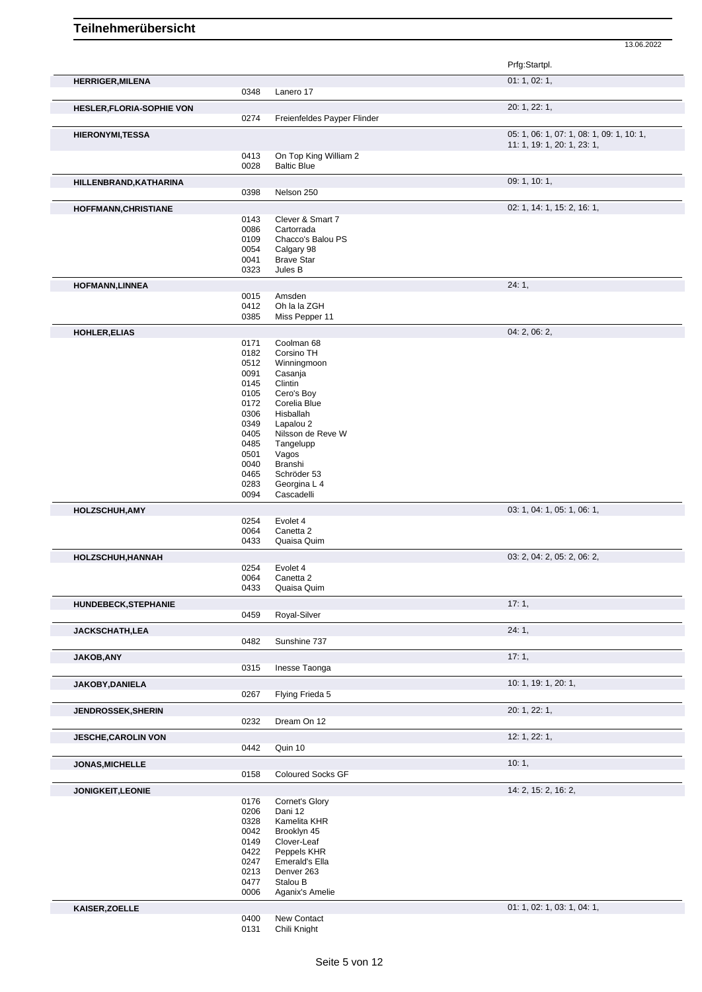|                                  |              |                                             | 13.06.2022                                |
|----------------------------------|--------------|---------------------------------------------|-------------------------------------------|
|                                  |              |                                             | Prfg:Startpl.                             |
| <b>HERRIGER, MILENA</b>          |              |                                             | 01: 1, 02: 1,                             |
|                                  | 0348         | Lanero 17                                   |                                           |
| <b>HESLER, FLORIA-SOPHIE VON</b> |              |                                             | 20: 1, 22: 1,                             |
|                                  | 0274         | Freienfeldes Payper Flinder                 |                                           |
| <b>HIERONYMI,TESSA</b>           |              |                                             | 05: 1, 06: 1, 07: 1, 08: 1, 09: 1, 10: 1, |
|                                  |              |                                             | 11: 1, 19: 1, 20: 1, 23: 1,               |
|                                  | 0413<br>0028 | On Top King William 2<br><b>Baltic Blue</b> |                                           |
|                                  |              |                                             | 09: 1, 10: 1,                             |
| HILLENBRAND, KATHARINA           | 0398         | Nelson 250                                  |                                           |
| HOFFMANN, CHRISTIANE             |              |                                             | 02: 1, 14: 1, 15: 2, 16: 1,               |
|                                  | 0143         | Clever & Smart 7                            |                                           |
|                                  | 0086         | Cartorrada                                  |                                           |
|                                  | 0109         | Chacco's Balou PS                           |                                           |
|                                  | 0054         | Calgary 98                                  |                                           |
|                                  | 0041         | <b>Brave Star</b>                           |                                           |
|                                  | 0323         | Jules B                                     |                                           |
| <b>HOFMANN,LINNEA</b>            |              |                                             | 24:1,                                     |
|                                  | 0015         | Amsden                                      |                                           |
|                                  | 0412         | Oh la la ZGH                                |                                           |
|                                  | 0385         | Miss Pepper 11                              |                                           |
| HOHLER, ELIAS                    | 0171         | Coolman 68                                  | 04: 2, 06: 2,                             |
|                                  | 0182         | Corsino TH                                  |                                           |
|                                  | 0512         | Winningmoon                                 |                                           |
|                                  | 0091         | Casanja                                     |                                           |
|                                  | 0145         | Clintin                                     |                                           |
|                                  | 0105         | Cero's Boy                                  |                                           |
|                                  | 0172         | Corelia Blue                                |                                           |
|                                  | 0306         | Hisballah                                   |                                           |
|                                  | 0349         | Lapalou 2                                   |                                           |
|                                  | 0405         | Nilsson de Reve W                           |                                           |
|                                  | 0485         | Tangelupp                                   |                                           |
|                                  | 0501         | Vagos                                       |                                           |
|                                  | 0040         | Branshi                                     |                                           |
|                                  | 0465         | Schröder 53                                 |                                           |
|                                  | 0283<br>0094 | Georgina L 4<br>Cascadelli                  |                                           |
|                                  |              |                                             |                                           |
| HOLZSCHUH, AMY                   | 0254         | Evolet 4                                    | 03: 1, 04: 1, 05: 1, 06: 1,               |
|                                  | 0064         | Canetta <sub>2</sub>                        |                                           |
|                                  | 0433         | Quaisa Quim                                 |                                           |
| HOLZSCHUH, HANNAH                |              |                                             | 03: 2, 04: 2, 05: 2, 06: 2,               |
|                                  | 0254         | Evolet 4                                    |                                           |
|                                  | 0064         | Canetta 2                                   |                                           |
|                                  | 0433         | Quaisa Quim                                 |                                           |
| HUNDEBECK, STEPHANIE             |              |                                             | 17:1,                                     |
|                                  | 0459         | Royal-Silver                                |                                           |
| JACKSCHATH,LEA                   |              | Sunshine 737                                | 24:1,                                     |
|                                  | 0482         |                                             |                                           |
| JAKOB, ANY                       | 0315         | Inesse Taonga                               | 17:1,                                     |
|                                  |              |                                             |                                           |
| JAKOBY, DANIELA                  | 0267         | Flying Frieda 5                             | 10: 1, 19: 1, 20: 1,                      |
|                                  |              |                                             | 20: 1, 22: 1,                             |
| JENDROSSEK, SHERIN               | 0232         | Dream On 12                                 |                                           |
| <b>JESCHE, CAROLIN VON</b>       |              |                                             | 12: 1, 22: 1,                             |
|                                  | 0442         | Quin 10                                     |                                           |
| JONAS, MICHELLE                  |              |                                             | 10:1,                                     |
|                                  | 0158         | Coloured Socks GF                           |                                           |
| JONIGKEIT, LEONIE                |              |                                             | 14: 2, 15: 2, 16: 2,                      |
|                                  | 0176         | Cornet's Glory                              |                                           |
|                                  | 0206         | Dani 12                                     |                                           |
|                                  | 0328         | Kamelita KHR                                |                                           |
|                                  | 0042         | Brooklyn 45                                 |                                           |
|                                  | 0149         | Clover-Leaf                                 |                                           |
|                                  | 0422         | Peppels KHR                                 |                                           |
|                                  | 0247         | Emerald's Ella                              |                                           |
|                                  | 0213         | Denver 263                                  |                                           |
|                                  | 0477         | Stalou B                                    |                                           |
|                                  | 0006         | Aganix's Amelie                             |                                           |
| KAISER, ZOELLE                   |              |                                             | 01: 1, 02: 1, 03: 1, 04: 1,               |

 New Contact Chili Knight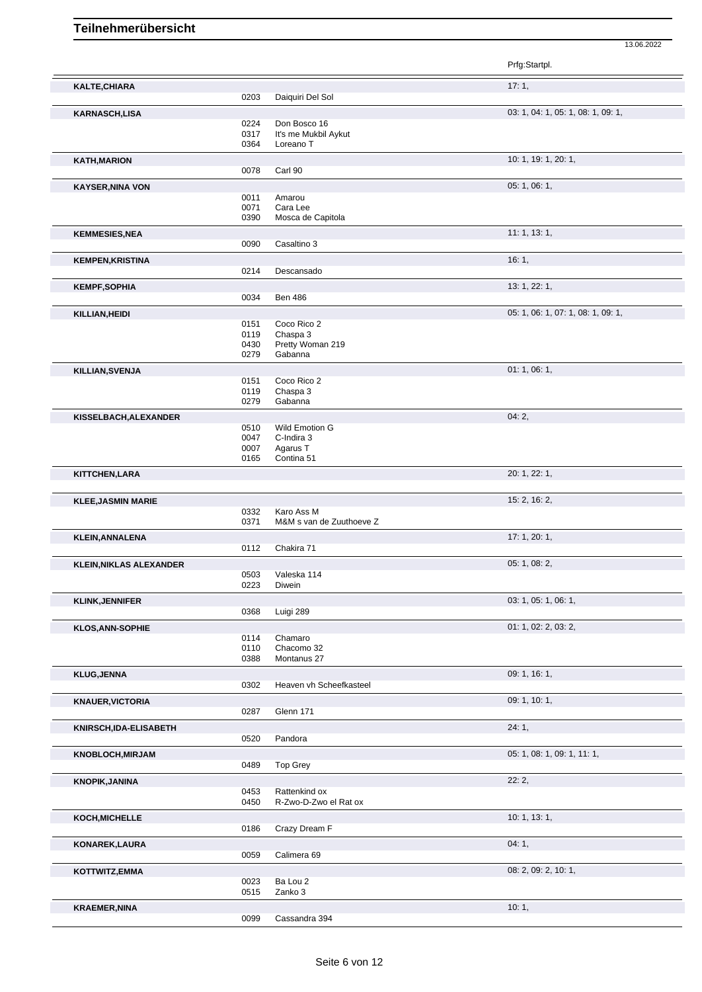|                                |              |                                        | Prfg:Startpl.                      |
|--------------------------------|--------------|----------------------------------------|------------------------------------|
| KALTE, CHIARA                  |              |                                        | 17:1,                              |
|                                | 0203         | Daiquiri Del Sol                       |                                    |
| <b>KARNASCH,LISA</b>           |              |                                        | 03: 1, 04: 1, 05: 1, 08: 1, 09: 1, |
|                                | 0224<br>0317 | Don Bosco 16<br>It's me Mukbil Aykut   |                                    |
|                                | 0364         | Loreano T                              |                                    |
| <b>KATH, MARION</b>            |              |                                        | 10: 1, 19: 1, 20: 1,               |
|                                | 0078         | Carl 90                                |                                    |
| <b>KAYSER, NINA VON</b>        |              |                                        | 05: 1, 06: 1,                      |
|                                | 0011<br>0071 | Amarou<br>Cara Lee                     |                                    |
|                                | 0390         | Mosca de Capitola                      |                                    |
| <b>KEMMESIES, NEA</b>          |              |                                        | 11:1, 13:1,                        |
|                                | 0090         | Casaltino 3                            |                                    |
| <b>KEMPEN, KRISTINA</b>        |              |                                        | 16:1,                              |
|                                | 0214         | Descansado                             |                                    |
| <b>KEMPF, SOPHIA</b>           |              |                                        | 13: 1, 22: 1,                      |
|                                | 0034         | <b>Ben 486</b>                         |                                    |
| KILLIAN, HEIDI                 | 0151         | Coco Rico 2                            | 05: 1, 06: 1, 07: 1, 08: 1, 09: 1, |
|                                | 0119         | Chaspa 3                               |                                    |
|                                | 0430         | Pretty Woman 219                       |                                    |
|                                | 0279         | Gabanna                                |                                    |
| KILLIAN, SVENJA                |              |                                        | 01: 1, 06: 1,                      |
|                                | 0151<br>0119 | Coco Rico 2<br>Chaspa 3                |                                    |
|                                | 0279         | Gabanna                                |                                    |
| KISSELBACH, ALEXANDER          |              |                                        | 04:2,                              |
|                                | 0510         | Wild Emotion G                         |                                    |
|                                | 0047<br>0007 | C-Indira 3<br>Agarus T                 |                                    |
|                                | 0165         | Contina 51                             |                                    |
| KITTCHEN, LARA                 |              |                                        | 20: 1, 22: 1,                      |
|                                |              |                                        |                                    |
| <b>KLEE, JASMIN MARIE</b>      |              |                                        | 15: 2, 16: 2,                      |
|                                | 0332<br>0371 | Karo Ass M<br>M&M s van de Zuuthoeve Z |                                    |
|                                |              |                                        | 17: 1, 20: 1,                      |
| <b>KLEIN, ANNALENA</b>         | 0112         | Chakira 71                             |                                    |
| <b>KLEIN, NIKLAS ALEXANDER</b> |              |                                        | 05: 1, 08: 2,                      |
|                                | 0503         | Valeska 114                            |                                    |
|                                | 0223         | Diwein                                 |                                    |
| <b>KLINK, JENNIFER</b>         |              |                                        | 03: 1, 05: 1, 06: 1,               |
|                                | 0368         | Luigi 289                              |                                    |
| <b>KLOS, ANN-SOPHIE</b>        | 0114         | Chamaro                                | 01: 1, 02: 2, 03: 2,               |
|                                | 0110         | Chacomo 32                             |                                    |
|                                | 0388         | Montanus 27                            |                                    |
| <b>KLUG, JENNA</b>             |              |                                        | 09: 1, 16: 1,                      |
|                                | 0302         | Heaven vh Scheefkasteel                |                                    |
| <b>KNAUER, VICTORIA</b>        |              | Glenn 171                              | 09: 1, 10: 1,                      |
|                                | 0287         |                                        |                                    |
| KNIRSCH, IDA-ELISABETH         | 0520         | Pandora                                | 24:1,                              |
|                                |              |                                        | 05: 1, 08: 1, 09: 1, 11: 1,        |
| <b>KNOBLOCH, MIRJAM</b>        | 0489         | <b>Top Grey</b>                        |                                    |
| <b>KNOPIK, JANINA</b>          |              |                                        | 22:2,                              |
|                                | 0453         | Rattenkind ox                          |                                    |
|                                | 0450         | R-Zwo-D-Zwo el Rat ox                  |                                    |
| KOCH, MICHELLE                 |              |                                        | 10: 1, 13: 1,                      |
|                                | 0186         | Crazy Dream F                          |                                    |
| KONAREK, LAURA                 |              |                                        | 04:1,                              |
|                                | 0059         | Calimera 69                            |                                    |
| KOTTWITZ,EMMA                  |              |                                        | 08: 2, 09: 2, 10: 1,               |
|                                | 0023<br>0515 | Ba Lou 2<br>Zanko 3                    |                                    |
| <b>KRAEMER, NINA</b>           |              |                                        | 10:1,                              |
|                                | 0099         | Cassandra 394                          |                                    |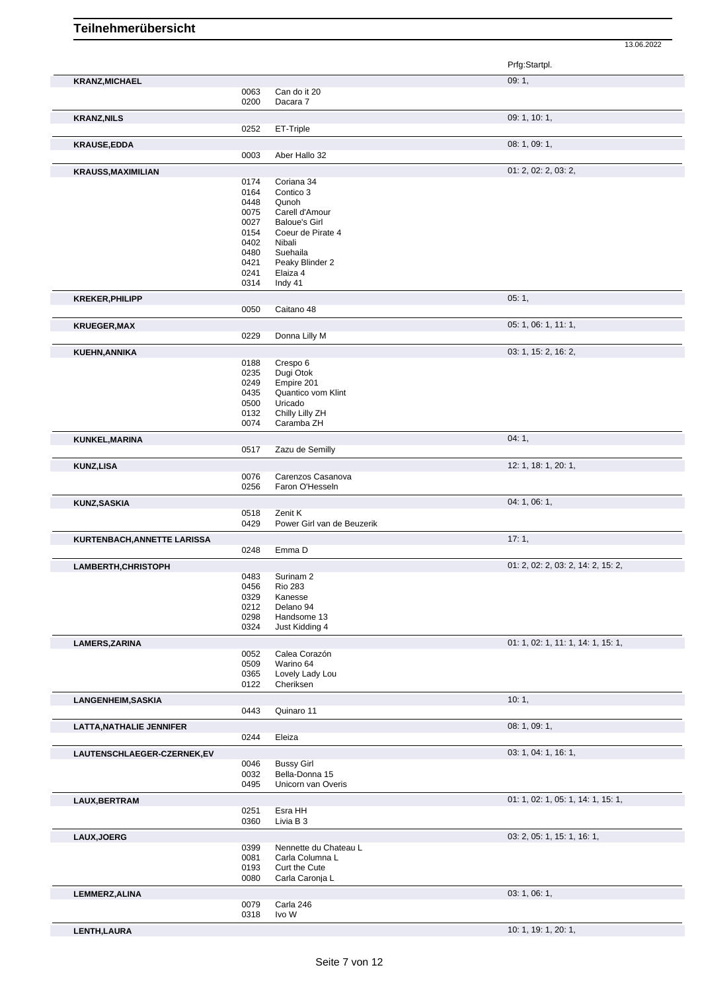Prfg:Startpl. **KRANZ,MICHAEL** 09: 1, 0063 Can do it 20<br>0200 Dacara 7 Dacara 7 **KRANZ,NILS** 09: 1, 10: 1, 0252 ET-Triple **KRAUSE,EDDA** 08: 1, 09: 1, 09: 1, 09: 1, 09: 1, 09: 1, 09: 1, 09: 1, 09: 1, 09: 1, 09: 1, 09: 1, 09: 1, 09: 1, 09: 1, 09: 1, 09: 1, 09: 1, 09: 1, 09: 1, 09: 1, 09: 1, 09: 1, 09: 1, 09: 1, 09: 1, 09: 1, 09: 1, 09: 1, 09: 1 Aber Hallo 32 **KRAUSS,MAXIMILIAN** 01: 2, 02: 2, 03: 2, 03: 2, 03: 2, 03: 2, 03: 2, 03: 2, 03: 2, 03: 2, 03: 2, 03: 2, 03: 2, 03: 2, 03: 2, 03: 2, 03: 2, 03: 2, 03: 2, 03: 2, 03: 2, 03: 2, 03: 2, 03: 2, 03: 2, 03: 2, 03: 2, 03: 2, 03: 2, 0174 Coriana 34<br>0164 Contico 3 0164 Contico 3<br>0448 Qunoh 0448 Qunoh<br>0075 Carell o 0075 Carell d'Amour<br>0027 Baloue's Girl 0027 Baloue's Girl<br>0154 Coeur de Pira 0154 Coeur de Pirate 4<br>0402 Nibali 0402 Nibali<br>0480 Sueha Suehaila 0421 Peaky Blinder 2 0241 Elaiza 4 0314 Indy 41 **KREKER,PHILIPP** 05: 1, 0050 Caitano 48 **KRUEGER,MAX** 05: 1, 06: 1, 11: 1, 0229 Donna Lilly M **KUEHN,ANNIKA** 03: 1, 15: 2, 16: 2, 0188 Crespo 6 0235 Dugi Otok<br>0249 Empire 20 0249 Empire 201<br>0435 Quantico vo 0435 Quantico vom Klint<br>0500 Uricado 0500 Uricado<br>0132 Chilly Li 0132 Chilly Lilly ZH<br>0074 Caramba ZH Caramba ZH **KUNKEL,MARINA** 04: 1, 04: 1, 04: 1, 0517 Zazu de Semilly Zazu de Semilly **KUNZ,LISA** 12: 1, 18: 1, 20: 1, 20: 1, 20: 1, 20: 1, 20: 1, 20: 1, 20: 1, 20: 1, 20: 1, 20: 1, 20: 1, 20: 1, 20: 1, 0076 Carenzos Casanova<br>0256 Faron O'Hesseln Faron O'Hesseln **KUNZ,SASKIA** 04: 1, 06: 1, 06: 1, 06: 1, 06: 1, 06: 1, 06: 1, 06: 1, 06: 1, 06: 1, 06: 1, 06: 1, 06: 1, 06: 1, 06: 1, 06: 1, 06: 1, 06: 1, 06: 1, 06: 1, 06: 1, 06: 1, 06: 1, 06: 1, 06: 1, 06: 1, 06: 1, 06: 1, 06: 1, 06: 1 0518 Zenit K<br>0429 Power ( Power Girl van de Beuzerik **KURTENBACH,ANNETTE LARISSA** 17: 1, 0248 Emma D **LAMBERTH,CHRISTOPH** 01: 2, 02: 2, 03: 2, 14: 2, 15: 2, 0483 Surinam 2<br>0456 Rio 283 0456 Rio 283<br>0329 Kanesse Kanesse 0212 Delano 94 0298 Handsome 13<br>0324 Just Kidding 4 Just Kidding 4 **LAMERS,ZARINA** 0052 Calea Corazón **Calea Corazón** 01: 1, 02: 1, 11: 1, 14: 1, 15: 1, Calea Corazón 0509 Warino 64<br>0365 Lovely Lac 0365 Lovely Lady Lou<br>0122 Cheriksen Cheriksen **LANGENHEIM,SASKIA** 10: 1, 2004/07/2012 12: 1, 2004/07/2012 12: 1, 2006/07/2012 12: 1, 2006/07/2012 12: 1, 2006/07/2012 12: 1, 2006/07/2012 12: 1, 2006/07/2012 12: 2006/07/2012 12: 2007/2012 12: 2007/2012 12: 2007/2012 12: Quinaro 11 **LATTA,NATHALIE JENNIFER** 0244 Eleiza **COMPASSE 1, 09: 1, 09: 1, 09: 1, 09: 1, 09: 1,** Eleiza **LAUTENSCHLAEGER-CZERNEK,EV** 03: 1, 04: 1, 16: 1, 0046 Bussy Girl<br>0032 Bella-Donr 0032 Bella-Donna 15<br>0495 Unicorn van Ove Unicorn van Overis **LAUX,BERTRAM** 01: 1, 02: 1, 05: 1, 14: 1, 15: 1, 0251 Esra HH<br>0360 Livia B 3 Livia B 3 **LAUX, JOERG** 03: 2, 05: 1, 15: 1, 16: 1, 16: 1, 16: 1, 16: 1, 16: 1, 16: 1, 16: 1, 16: 1, 16: 1, 16: 1, 16: 1, 16: 1, 16: 1, 16: 1, 16: 1, 16: 1, 16: 1, 16: 1, 16: 1, 16: 1, 16: 1, 16: 1, 16: 1, 16: 1, 16: 1, 16: 1, 16: 1 Nennette du Chateau L 0081 Carla Columna L 0193 Curt the Cute<br>0080 Carla Caronia Carla Caronja L **LEMMERZ,ALINA** 03: 1, 06: 1,

13.06.2022

Seite 7 von 12

**LENTH,LAURA** 10: 1, 19: 1, 20: 1,

0079 Carla 246 0318 Ivo W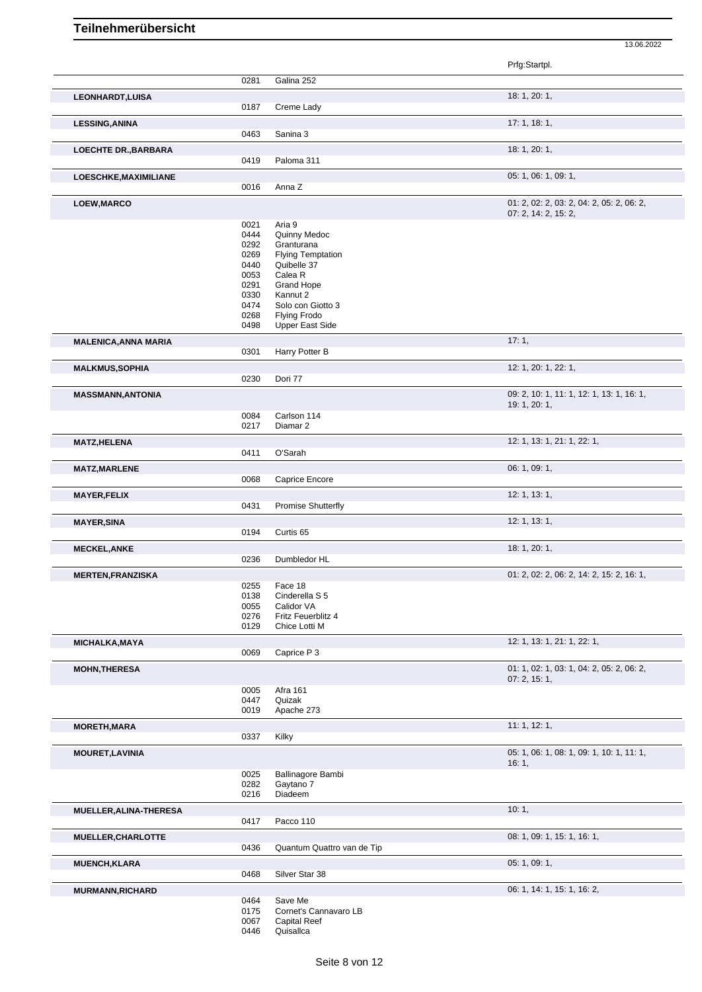|                             |                      |                                                    | Prfg:Startpl.                             |
|-----------------------------|----------------------|----------------------------------------------------|-------------------------------------------|
|                             | 0281                 | Galina 252                                         |                                           |
| <b>LEONHARDT, LUISA</b>     |                      |                                                    | 18: 1, 20: 1,                             |
|                             | 0187                 | Creme Lady                                         |                                           |
| <b>LESSING, ANINA</b>       |                      |                                                    | 17:1, 18:1,                               |
|                             | 0463                 | Sanina 3                                           |                                           |
| <b>LOECHTE DR., BARBARA</b> | 0419                 | Paloma 311                                         | 18: 1, 20: 1,                             |
|                             |                      |                                                    | 05: 1, 06: 1, 09: 1,                      |
| LOESCHKE, MAXIMILIANE       | 0016                 | Anna Z                                             |                                           |
| LOEW, MARCO                 |                      |                                                    | 01: 2, 02: 2, 03: 2, 04: 2, 05: 2, 06: 2, |
|                             |                      |                                                    | 07: 2, 14: 2, 15: 2,                      |
|                             | 0021<br>0444         | Aria 9<br>Quinny Medoc                             |                                           |
|                             | 0292                 | Granturana                                         |                                           |
|                             | 0269                 | <b>Flying Temptation</b>                           |                                           |
|                             | 0440                 | Quibelle 37                                        |                                           |
|                             | 0053<br>0291         | Calea R<br><b>Grand Hope</b>                       |                                           |
|                             | 0330                 | Kannut 2                                           |                                           |
|                             | 0474                 | Solo con Giotto 3                                  |                                           |
|                             | 0268<br>0498         | <b>Flying Frodo</b><br><b>Upper East Side</b>      |                                           |
|                             |                      |                                                    | 17:1,                                     |
| <b>MALENICA, ANNA MARIA</b> | 0301                 | Harry Potter B                                     |                                           |
| <b>MALKMUS, SOPHIA</b>      |                      |                                                    | 12: 1, 20: 1, 22: 1,                      |
|                             | 0230                 | Dori 77                                            |                                           |
| <b>MASSMANN, ANTONIA</b>    |                      |                                                    | 09: 2, 10: 1, 11: 1, 12: 1, 13: 1, 16: 1, |
|                             |                      |                                                    | 19: 1, 20: 1,                             |
|                             | 0084<br>0217         | Carlson 114<br>Diamar <sub>2</sub>                 |                                           |
|                             |                      |                                                    |                                           |
| <b>MATZ,HELENA</b>          | 0411                 | O'Sarah                                            | 12: 1, 13: 1, 21: 1, 22: 1,               |
| <b>MATZ,MARLENE</b>         |                      |                                                    | 06: 1, 09: 1,                             |
|                             | 0068                 | Caprice Encore                                     |                                           |
| <b>MAYER, FELIX</b>         |                      |                                                    | 12: 1, 13: 1,                             |
|                             | 0431                 | <b>Promise Shutterfly</b>                          |                                           |
| <b>MAYER, SINA</b>          |                      |                                                    | 12: 1, 13: 1,                             |
|                             | 0194                 | Curtis <sub>65</sub>                               |                                           |
| <b>MECKEL, ANKE</b>         |                      |                                                    | 18: 1, 20: 1,                             |
|                             | 0236                 | Dumbledor HL                                       |                                           |
| <b>MERTEN, FRANZISKA</b>    | 0255                 | Face 18                                            | 01: 2, 02: 2, 06: 2, 14: 2, 15: 2, 16: 1, |
|                             | 0138                 | Cinderella S 5                                     |                                           |
|                             | 0055                 | Calidor VA                                         |                                           |
|                             | 0276<br>0129         | Fritz Feuerblitz 4<br>Chice Lotti M                |                                           |
|                             |                      |                                                    | 12: 1, 13: 1, 21: 1, 22: 1,               |
| MICHALKA, MAYA              | 0069                 | Caprice P 3                                        |                                           |
| <b>MOHN, THERESA</b>        |                      |                                                    | 01: 1, 02: 1, 03: 1, 04: 2, 05: 2, 06: 2, |
|                             |                      |                                                    | 07: 2, 15: 1,                             |
|                             | 0005                 | <b>Afra 161</b><br>Quizak                          |                                           |
|                             | 0447<br>0019         | Apache 273                                         |                                           |
| <b>MORETH, MARA</b>         |                      |                                                    | 11: 1, 12: 1,                             |
|                             | 0337                 | Kilky                                              |                                           |
| <b>MOURET, LAVINIA</b>      |                      |                                                    | 05: 1, 06: 1, 08: 1, 09: 1, 10: 1, 11: 1, |
|                             |                      |                                                    | 16:1,                                     |
|                             | 0025<br>0282         | <b>Ballinagore Bambi</b><br>Gaytano 7              |                                           |
|                             | 0216                 | Diadeem                                            |                                           |
| MUELLER, ALINA-THERESA      |                      |                                                    | 10:1,                                     |
|                             | 0417                 | Pacco 110                                          |                                           |
| MUELLER, CHARLOTTE          |                      |                                                    | 08: 1, 09: 1, 15: 1, 16: 1,               |
|                             | 0436                 | Quantum Quattro van de Tip                         |                                           |
| <b>MUENCH, KLARA</b>        |                      |                                                    | 05: 1, 09: 1,                             |
|                             |                      | Silver Star 38                                     |                                           |
|                             | 0468                 |                                                    |                                           |
|                             |                      |                                                    | 06: 1, 14: 1, 15: 1, 16: 2,               |
|                             | 0464                 | Save Me                                            |                                           |
| MURMANN, RICHARD            | 0175<br>0067<br>0446 | Cornet's Cannavaro LB<br>Capital Reef<br>Quisallca |                                           |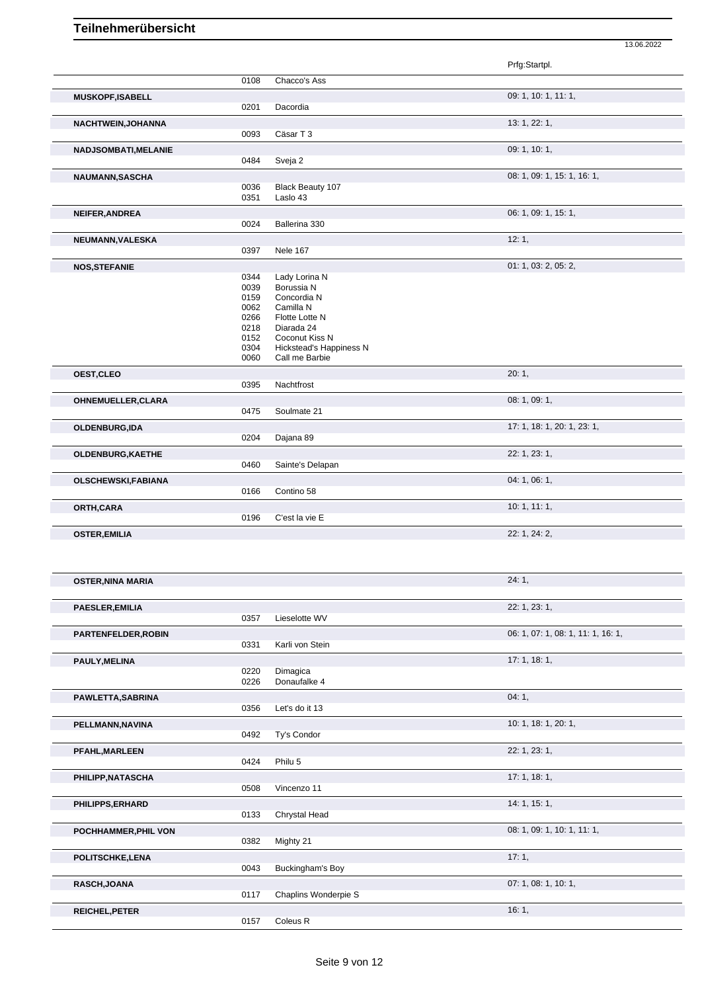|                           |      |                         | Prfg:Startpl.                      |
|---------------------------|------|-------------------------|------------------------------------|
|                           | 0108 | Chacco's Ass            |                                    |
| <b>MUSKOPF,ISABELL</b>    |      |                         | 09: 1, 10: 1, 11: 1,               |
|                           | 0201 | Dacordia                |                                    |
| NACHTWEIN, JOHANNA        |      |                         | 13: 1, 22: 1,                      |
|                           | 0093 | Cäsar T 3               |                                    |
|                           |      |                         | 09: 1, 10: 1,                      |
| NADJSOMBATI, MELANIE      | 0484 | Sveja 2                 |                                    |
|                           |      |                         |                                    |
| NAUMANN, SASCHA           | 0036 | Black Beauty 107        | 08: 1, 09: 1, 15: 1, 16: 1,        |
|                           | 0351 | Laslo 43                |                                    |
| NEIFER, ANDREA            |      |                         | 06: 1, 09: 1, 15: 1,               |
|                           | 0024 | Ballerina 330           |                                    |
| NEUMANN, VALESKA          |      |                         | 12:1,                              |
|                           | 0397 | <b>Nele 167</b>         |                                    |
|                           |      |                         | 01: 1, 03: 2, 05: 2,               |
| <b>NOS, STEFANIE</b>      | 0344 | Lady Lorina N           |                                    |
|                           | 0039 | Borussia N              |                                    |
|                           | 0159 | Concordia N             |                                    |
|                           | 0062 | Camilla N               |                                    |
|                           | 0266 | Flotte Lotte N          |                                    |
|                           | 0218 | Diarada 24              |                                    |
|                           | 0152 | Coconut Kiss N          |                                    |
|                           | 0304 | Hickstead's Happiness N |                                    |
|                           | 0060 | Call me Barbie          |                                    |
| OEST, CLEO                |      |                         | 20:1,                              |
|                           | 0395 | Nachtfrost              |                                    |
| OHNEMUELLER, CLARA        |      |                         | 08: 1, 09: 1,                      |
|                           | 0475 | Soulmate 21             |                                    |
| OLDENBURG, IDA            |      |                         | 17: 1, 18: 1, 20: 1, 23: 1,        |
|                           | 0204 | Dajana 89               |                                    |
|                           |      |                         |                                    |
| OLDENBURG, KAETHE         | 0460 |                         | 22: 1, 23: 1,                      |
|                           |      | Sainte's Delapan        |                                    |
| <b>OLSCHEWSKI,FABIANA</b> |      |                         | 04:1,06:1,                         |
|                           | 0166 | Contino 58              |                                    |
| ORTH, CARA                |      |                         | 10:1, 11:1,                        |
|                           | 0196 | C'est la vie E          |                                    |
| <b>OSTER, EMILIA</b>      |      |                         | 22: 1, 24: 2,                      |
|                           |      |                         |                                    |
|                           |      |                         |                                    |
|                           |      |                         |                                    |
| OSTER,NINA MARIA          |      |                         | 24:1                               |
|                           |      |                         |                                    |
| PAESLER, EMILIA           |      |                         | 22: 1, 23: 1,                      |
|                           | 0357 | Lieselotte WV           |                                    |
| PARTENFELDER, ROBIN       |      |                         | 06: 1, 07: 1, 08: 1, 11: 1, 16: 1, |
|                           | 0331 | Karli von Stein         |                                    |
|                           |      |                         |                                    |
| PAULY, MELINA             | 0220 | Dimagica                | 17: 1, 18: 1,                      |
|                           | 0226 | Donaufalke 4            |                                    |
|                           |      |                         |                                    |
| PAWLETTA, SABRINA         |      |                         | 04:1,                              |
|                           | 0356 | Let's do it 13          |                                    |
| PELLMANN, NAVINA          |      |                         | 10: 1, 18: 1, 20: 1,               |
|                           | 0492 | Ty's Condor             |                                    |
| PFAHL, MARLEEN            |      |                         | 22: 1, 23: 1,                      |
|                           | 0424 | Philu 5                 |                                    |
| PHILIPP, NATASCHA         |      |                         | 17:1, 18:1,                        |
|                           | 0508 | Vincenzo 11             |                                    |
|                           |      |                         |                                    |
| PHILIPPS, ERHARD          | 0133 | Chrystal Head           | 14:1, 15:1,                        |
|                           |      |                         |                                    |
| POCHHAMMER, PHIL VON      |      |                         | 08: 1, 09: 1, 10: 1, 11: 1,        |
|                           | 0382 | Mighty 21               |                                    |
| POLITSCHKE, LENA          |      |                         | 17:1,                              |
|                           | 0043 | Buckingham's Boy        |                                    |
| RASCH, JOANA              |      |                         | 07: 1, 08: 1, 10: 1,               |
|                           | 0117 | Chaplins Wonderpie S    |                                    |
|                           |      |                         |                                    |
| <b>REICHEL, PETER</b>     | 0157 | Coleus R                | 16:1,                              |
|                           |      |                         |                                    |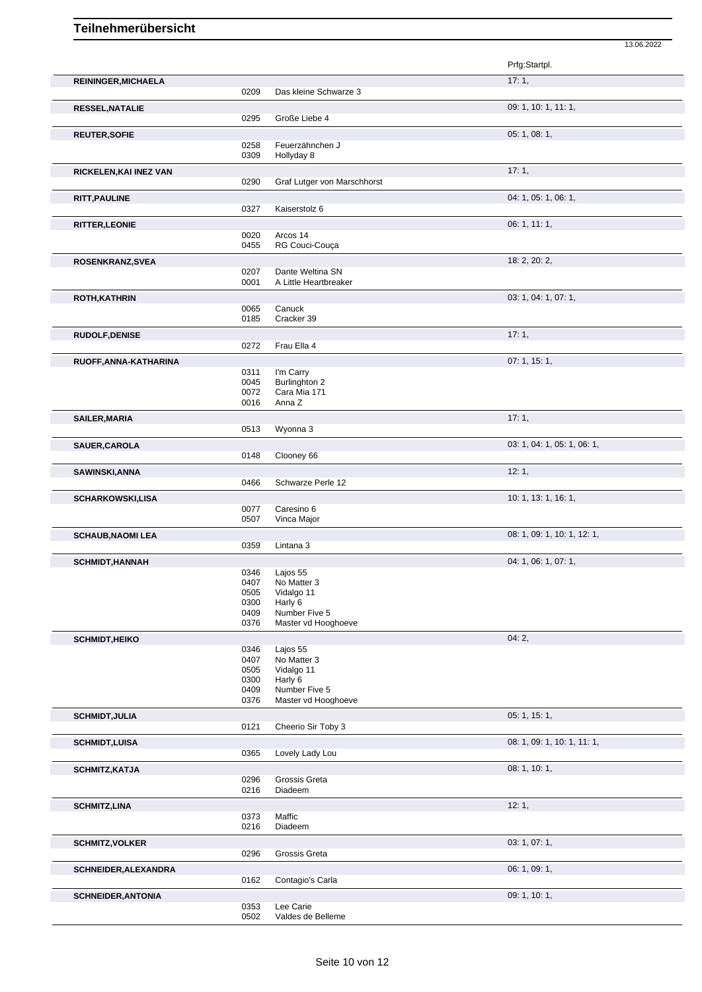|                           |              |                                      | 13.06.2022                  |
|---------------------------|--------------|--------------------------------------|-----------------------------|
|                           |              |                                      | Prfg:Startpl.               |
| REININGER, MICHAELA       | 0209         | Das kleine Schwarze 3                | 17:1,                       |
|                           |              |                                      | 09: 1, 10: 1, 11: 1,        |
| <b>RESSEL, NATALIE</b>    | 0295         | Große Liebe 4                        |                             |
| <b>REUTER, SOFIE</b>      |              |                                      | 05: 1, 08: 1,               |
|                           | 0258         | Feuerzähnchen J                      |                             |
|                           | 0309         | Hollyday 8                           |                             |
| RICKELEN, KAI INEZ VAN    | 0290         | Graf Lutger von Marschhorst          | 17:1,                       |
| <b>RITT, PAULINE</b>      |              |                                      | 04: 1, 05: 1, 06: 1,        |
|                           | 0327         | Kaiserstolz 6                        |                             |
| <b>RITTER, LEONIE</b>     |              |                                      | 06: 1, 11: 1,               |
|                           | 0020         | Arcos 14                             |                             |
|                           | 0455         | RG Couci-Couça                       |                             |
| ROSENKRANZ, SVEA          | 0207         | Dante Weltina SN                     | 18: 2, 20: 2,               |
|                           | 0001         | A Little Heartbreaker                |                             |
| <b>ROTH, KATHRIN</b>      |              |                                      | 03: 1, 04: 1, 07: 1,        |
|                           | 0065<br>0185 | Canuck<br>Cracker 39                 |                             |
|                           |              |                                      |                             |
| <b>RUDOLF, DENISE</b>     | 0272         | Frau Ella 4                          | 17:1,                       |
| RUOFF, ANNA-KATHARINA     |              |                                      | 07: 1, 15: 1,               |
|                           | 0311         | I'm Carry                            |                             |
|                           | 0045         | Burlinghton 2                        |                             |
|                           | 0072<br>0016 | Cara Mia 171<br>Anna Z               |                             |
| <b>SAILER, MARIA</b>      |              |                                      | 17:1,                       |
|                           | 0513         | Wyonna 3                             |                             |
| SAUER, CAROLA             |              |                                      | 03: 1, 04: 1, 05: 1, 06: 1, |
|                           | 0148         | Clooney 66                           |                             |
| SAWINSKI, ANNA            |              |                                      | 12:1,                       |
|                           | 0466         | Schwarze Perle 12                    |                             |
| <b>SCHARKOWSKI,LISA</b>   | 0077         | Caresino 6                           | 10: 1, 13: 1, 16: 1,        |
|                           | 0507         | Vinca Major                          |                             |
| <b>SCHAUB, NAOMI LEA</b>  |              |                                      | 08: 1, 09: 1, 10: 1, 12: 1, |
|                           | 0359         | Lintana 3                            |                             |
| <b>SCHMIDT, HANNAH</b>    |              |                                      | 04: 1, 06: 1, 07: 1,        |
|                           | 0346         | Lajos 55                             |                             |
|                           | 0407<br>0505 | No Matter 3<br>Vidalgo 11            |                             |
|                           | 0300         | Harly 6                              |                             |
|                           | 0409<br>0376 | Number Five 5<br>Master vd Hooghoeve |                             |
|                           |              |                                      | 04:2,                       |
| <b>SCHMIDT, HEIKO</b>     | 0346         | Lajos 55                             |                             |
|                           | 0407         | No Matter 3                          |                             |
|                           | 0505<br>0300 | Vidalgo 11<br>Harly 6                |                             |
|                           | 0409         | Number Five 5                        |                             |
|                           | 0376         | Master vd Hooghoeve                  |                             |
| <b>SCHMIDT, JULIA</b>     |              |                                      | 05: 1, 15: 1,               |
|                           | 0121         | Cheerio Sir Toby 3                   |                             |
| <b>SCHMIDT,LUISA</b>      |              |                                      | 08: 1, 09: 1, 10: 1, 11: 1, |
|                           | 0365         | Lovely Lady Lou                      |                             |
| <b>SCHMITZ, KATJA</b>     | 0296         | Grossis Greta                        | 08: 1, 10: 1,               |
|                           | 0216         | Diadeem                              |                             |
| <b>SCHMITZ,LINA</b>       |              |                                      | 12:1,                       |
|                           | 0373         | Maffic                               |                             |
|                           | 0216         | Diadeem                              |                             |
| <b>SCHMITZ, VOLKER</b>    | 0296         | Grossis Greta                        | 03: 1, 07: 1,               |
|                           |              |                                      | 06: 1, 09: 1,               |
| SCHNEIDER, ALEXANDRA      | 0162         | Contagio's Carla                     |                             |
| <b>SCHNEIDER, ANTONIA</b> |              |                                      | 09: 1, 10: 1,               |
|                           | 0353         | Lee Carie                            |                             |
|                           | 0502         | Valdes de Belleme                    |                             |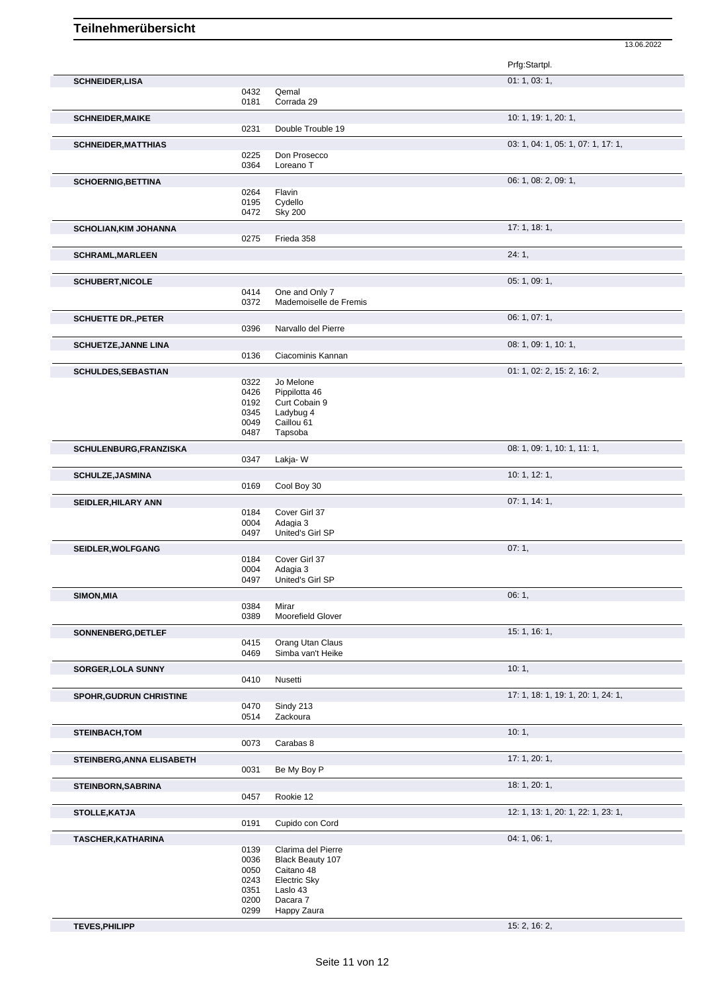|                                  |              |                                       | 13.06.2022                         |
|----------------------------------|--------------|---------------------------------------|------------------------------------|
|                                  |              |                                       | Prfg:Startpl.                      |
| <b>SCHNEIDER, LISA</b>           |              |                                       | 01: 1, 03: 1,                      |
|                                  | 0432         | Qemal                                 |                                    |
|                                  | 0181         | Corrada 29                            |                                    |
| <b>SCHNEIDER, MAIKE</b>          |              |                                       | 10: 1, 19: 1, 20: 1,               |
|                                  | 0231         | Double Trouble 19                     |                                    |
| <b>SCHNEIDER, MATTHIAS</b>       |              |                                       | 03: 1, 04: 1, 05: 1, 07: 1, 17: 1, |
|                                  | 0225         | Don Prosecco                          |                                    |
|                                  | 0364         | Loreano <sub>T</sub>                  |                                    |
| <b>SCHOERNIG, BETTINA</b>        |              |                                       | 06: 1, 08: 2, 09: 1,               |
|                                  | 0264         | Flavin                                |                                    |
|                                  | 0195         | Cydello                               |                                    |
|                                  | 0472         | <b>Sky 200</b>                        |                                    |
| <b>SCHOLIAN, KIM JOHANNA</b>     |              |                                       | 17:1, 18:1,                        |
|                                  | 0275         | Frieda 358                            |                                    |
| <b>SCHRAML, MARLEEN</b>          |              |                                       | 24:1,                              |
| <b>SCHUBERT, NICOLE</b>          |              |                                       | 05: 1, 09: 1,                      |
|                                  | 0414         | One and Only 7                        |                                    |
|                                  | 0372         | Mademoiselle de Fremis                |                                    |
| <b>SCHUETTE DR., PETER</b>       |              |                                       | 06: 1, 07: 1,                      |
|                                  | 0396         | Narvallo del Pierre                   |                                    |
| <b>SCHUETZE, JANNE LINA</b>      |              |                                       | 08: 1, 09: 1, 10: 1,               |
|                                  | 0136         | Ciacominis Kannan                     |                                    |
| <b>SCHULDES, SEBASTIAN</b>       |              |                                       | 01: 1, 02: 2, 15: 2, 16: 2,        |
|                                  | 0322         | Jo Melone                             |                                    |
|                                  | 0426         | Pippilotta 46                         |                                    |
|                                  | 0192         | Curt Cobain 9                         |                                    |
|                                  | 0345         | Ladybug 4                             |                                    |
|                                  | 0049         | Caillou 61                            |                                    |
|                                  | 0487         | Tapsoba                               |                                    |
| SCHULENBURG, FRANZISKA           | 0347         | Lakja-W                               | 08: 1, 09: 1, 10: 1, 11: 1,        |
|                                  |              |                                       | 10: 1, 12: 1,                      |
| SCHULZE, JASMINA                 | 0169         | Cool Boy 30                           |                                    |
|                                  |              |                                       |                                    |
| SEIDLER, HILARY ANN              |              |                                       | 07:1, 14:1,                        |
|                                  | 0184         | Cover Girl 37                         |                                    |
|                                  | 0004<br>0497 | Adagia 3<br>United's Girl SP          |                                    |
|                                  |              |                                       |                                    |
| SEIDLER, WOLFGANG                |              |                                       | 07:1,                              |
|                                  | 0184         | Cover Girl 37                         |                                    |
|                                  | 0004<br>0497 | Adagia 3<br>United's Girl SP          |                                    |
|                                  |              |                                       |                                    |
| SIMON, MIA                       |              |                                       | 06:1,                              |
|                                  | 0384<br>0389 | Mirar<br>Moorefield Glover            |                                    |
|                                  |              |                                       |                                    |
| SONNENBERG, DETLEF               |              |                                       | 15: 1, 16: 1,                      |
|                                  | 0415<br>0469 | Orang Utan Claus<br>Simba van't Heike |                                    |
|                                  |              |                                       |                                    |
| <b>SORGER, LOLA SUNNY</b>        | 0410         | Nusetti                               | 10:1,                              |
|                                  |              |                                       |                                    |
| <b>SPOHR, GUDRUN CHRISTINE</b>   |              |                                       | 17: 1, 18: 1, 19: 1, 20: 1, 24: 1, |
|                                  | 0470<br>0514 | Sindy 213<br>Zackoura                 |                                    |
|                                  |              |                                       |                                    |
| <b>STEINBACH, TOM</b>            | 0073         | Carabas 8                             | 10:1,                              |
|                                  |              |                                       |                                    |
| <b>STEINBERG, ANNA ELISABETH</b> | 0031         | Be My Boy P                           | 17: 1, 20: 1,                      |
|                                  |              |                                       |                                    |
| <b>STEINBORN, SABRINA</b>        | 0457         | Rookie 12                             | 18: 1, 20: 1,                      |
|                                  |              |                                       |                                    |
| STOLLE, KATJA                    |              |                                       | 12: 1, 13: 1, 20: 1, 22: 1, 23: 1, |
|                                  | 0191         | Cupido con Cord                       |                                    |
| TASCHER, KATHARINA               |              |                                       | 04: 1, 06: 1,                      |
|                                  | 0139         | Clarima del Pierre                    |                                    |
|                                  | 0036         | Black Beauty 107                      |                                    |
|                                  | 0050         | Caitano 48                            |                                    |
|                                  | 0243         | <b>Electric Sky</b>                   |                                    |
|                                  | 0351         | Laslo 43                              |                                    |
|                                  | 0200         | Dacara 7                              |                                    |
|                                  | 0299         | Happy Zaura                           |                                    |

**TEVES,PHILIPP** 15: 2, 16: 2,